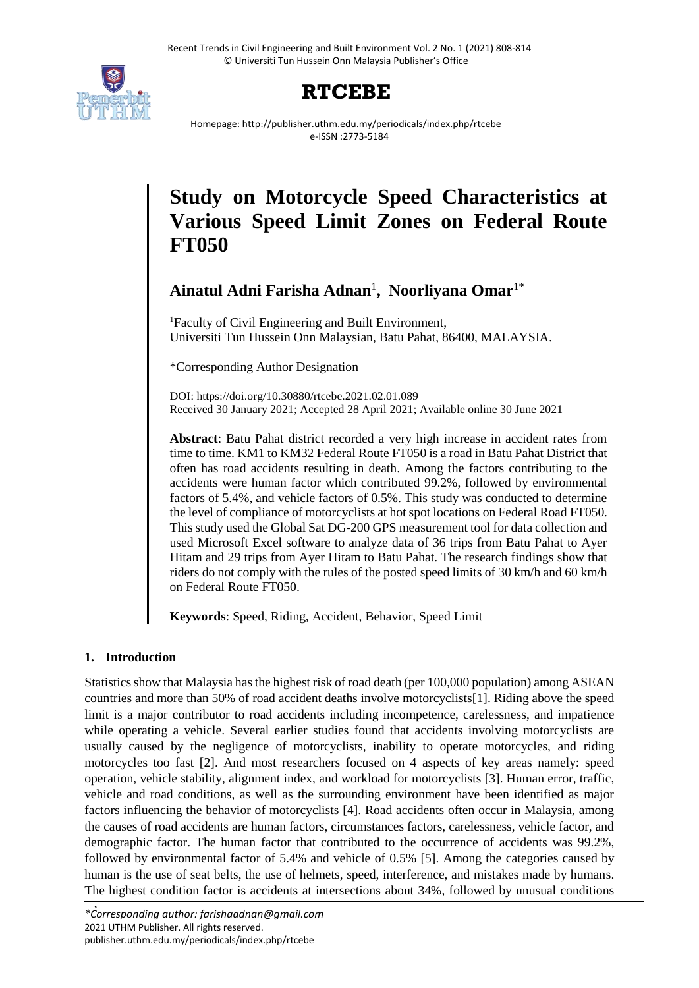

## **RTCEBE**

Homepage: http://publisher.uthm.edu.my/periodicals/index.php/rtcebe e-ISSN :2773-5184

# **Study on Motorcycle Speed Characteristics at Various Speed Limit Zones on Federal Route FT050**

**Ainatul Adni Farisha Adnan**<sup>1</sup> **, Noorliyana Omar**1\*

<sup>1</sup>Faculty of Civil Engineering and Built Environment, Universiti Tun Hussein Onn Malaysian, Batu Pahat, 86400, MALAYSIA.

\*Corresponding Author Designation

DOI: https://doi.org/10.30880/rtcebe.2021.02.01.089 Received 30 January 2021; Accepted 28 April 2021; Available online 30 June 2021

**Abstract**: Batu Pahat district recorded a very high increase in accident rates from time to time. KM1 to KM32 Federal Route FT050 is a road in Batu Pahat District that often has road accidents resulting in death. Among the factors contributing to the accidents were human factor which contributed 99.2%, followed by environmental factors of 5.4%, and vehicle factors of 0.5%. This study was conducted to determine the level of compliance of motorcyclists at hot spot locations on Federal Road FT050. This study used the Global Sat DG-200 GPS measurement tool for data collection and used Microsoft Excel software to analyze data of 36 trips from Batu Pahat to Ayer Hitam and 29 trips from Ayer Hitam to Batu Pahat. The research findings show that riders do not comply with the rules of the posted speed limits of 30 km/h and 60 km/h on Federal Route FT050.

**Keywords**: Speed, Riding, Accident, Behavior, Speed Limit

## **1. Introduction**

Statistics show that Malaysia has the highest risk of road death (per 100,000 population) among ASEAN countries and more than 50% of road accident deaths involve motorcyclists[1]. Riding above the speed limit is a major contributor to road accidents including incompetence, carelessness, and impatience while operating a vehicle. Several earlier studies found that accidents involving motorcyclists are usually caused by the negligence of motorcyclists, inability to operate motorcycles, and riding motorcycles too fast [2]. And most researchers focused on 4 aspects of key areas namely: speed operation, vehicle stability, alignment index, and workload for motorcyclists [3]. Human error, traffic, vehicle and road conditions, as well as the surrounding environment have been identified as major factors influencing the behavior of motorcyclists [4]. Road accidents often occur in Malaysia, among the causes of road accidents are human factors, circumstances factors, carelessness, vehicle factor, and demographic factor. The human factor that contributed to the occurrence of accidents was 99.2%, followed by environmental factor of 5.4% and vehicle of 0.5% [5]. Among the categories caused by human is the use of seat belts, the use of helmets, speed, interference, and mistakes made by humans. The highest condition factor is accidents at intersections about 34%, followed by unusual conditions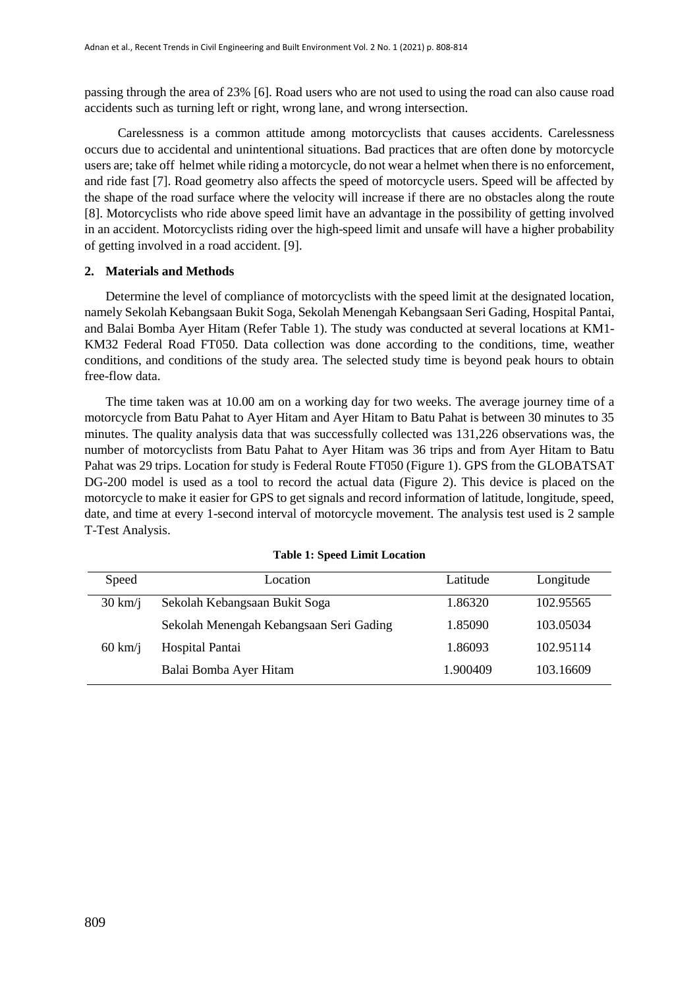passing through the area of 23% [6]. Road users who are not used to using the road can also cause road accidents such as turning left or right, wrong lane, and wrong intersection.

Carelessness is a common attitude among motorcyclists that causes accidents. Carelessness occurs due to accidental and unintentional situations. Bad practices that are often done by motorcycle users are; take off helmet while riding a motorcycle, do not wear a helmet when there is no enforcement, and ride fast [7]. Road geometry also affects the speed of motorcycle users. Speed will be affected by the shape of the road surface where the velocity will increase if there are no obstacles along the route [8]. Motorcyclists who ride above speed limit have an advantage in the possibility of getting involved in an accident. Motorcyclists riding over the high-speed limit and unsafe will have a higher probability of getting involved in a road accident. [9].

#### **2. Materials and Methods**

Determine the level of compliance of motorcyclists with the speed limit at the designated location, namely Sekolah Kebangsaan Bukit Soga, Sekolah Menengah Kebangsaan Seri Gading, Hospital Pantai, and Balai Bomba Ayer Hitam (Refer Table 1). The study was conducted at several locations at KM1- KM32 Federal Road FT050. Data collection was done according to the conditions, time, weather conditions, and conditions of the study area. The selected study time is beyond peak hours to obtain free-flow data.

The time taken was at 10.00 am on a working day for two weeks. The average journey time of a motorcycle from Batu Pahat to Ayer Hitam and Ayer Hitam to Batu Pahat is between 30 minutes to 35 minutes. The quality analysis data that was successfully collected was 131,226 observations was, the number of motorcyclists from Batu Pahat to Ayer Hitam was 36 trips and from Ayer Hitam to Batu Pahat was 29 trips. Location for study is Federal Route FT050 (Figure 1). GPS from the GLOBATSAT DG-200 model is used as a tool to record the actual data (Figure 2). This device is placed on the motorcycle to make it easier for GPS to get signals and record information of latitude, longitude, speed, date, and time at every 1-second interval of motorcycle movement. The analysis test used is 2 sample T-Test Analysis.

| Speed                    | Location                                | Latitude | Longitude |
|--------------------------|-----------------------------------------|----------|-----------|
| $30 \text{ km}/\text{i}$ | Sekolah Kebangsaan Bukit Soga           | 1.86320  | 102.95565 |
|                          | Sekolah Menengah Kebangsaan Seri Gading | 1.85090  | 103.05034 |
| $60 \text{ km}/\text{i}$ | Hospital Pantai                         | 1.86093  | 102.95114 |
|                          | Balai Bomba Ayer Hitam                  | 1.900409 | 103.16609 |

#### **Table 1: Speed Limit Location**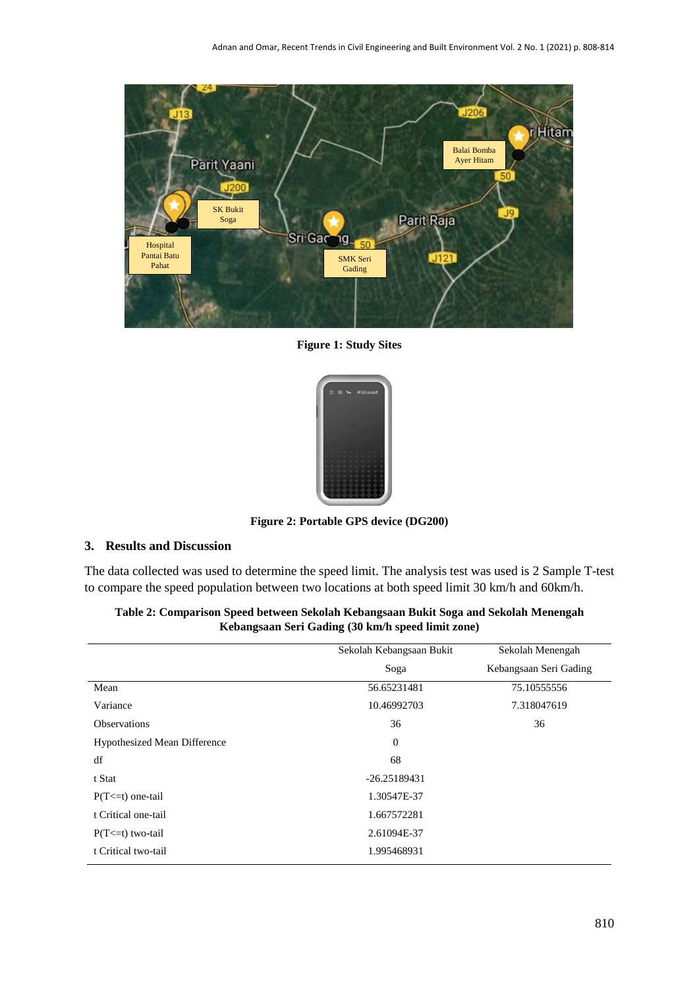

**Figure 1: Study Sites**



**Figure 2: Portable GPS device (DG200)**

### **3. Results and Discussion**

The data collected was used to determine the speed limit. The analysis test was used is 2 Sample T-test to compare the speed population between two locations at both speed limit 30 km/h and 60km/h.

| Soga<br>Mean<br>56.65231481<br>Variance<br>10.46992703<br><b>Observations</b><br>36<br><b>Hypothesized Mean Difference</b><br>$\theta$<br>df<br>68<br>$-26.25189431$<br>t Stat<br>1.30547E-37<br>$P(T \le t)$ one-tail<br>t Critical one-tail<br>1.667572281<br>2.61094E-37<br>$P(T \le t)$ two-tail | Sekolah Menengah       |  |
|------------------------------------------------------------------------------------------------------------------------------------------------------------------------------------------------------------------------------------------------------------------------------------------------------|------------------------|--|
|                                                                                                                                                                                                                                                                                                      | Kebangsaan Seri Gading |  |
|                                                                                                                                                                                                                                                                                                      | 75.10555556            |  |
|                                                                                                                                                                                                                                                                                                      | 7.318047619            |  |
|                                                                                                                                                                                                                                                                                                      | 36                     |  |
|                                                                                                                                                                                                                                                                                                      |                        |  |
|                                                                                                                                                                                                                                                                                                      |                        |  |
|                                                                                                                                                                                                                                                                                                      |                        |  |
|                                                                                                                                                                                                                                                                                                      |                        |  |
|                                                                                                                                                                                                                                                                                                      |                        |  |
|                                                                                                                                                                                                                                                                                                      |                        |  |
| t Critical two-tail<br>1.995468931                                                                                                                                                                                                                                                                   |                        |  |

**Table 2: Comparison Speed between Sekolah Kebangsaan Bukit Soga and Sekolah Menengah Kebangsaan Seri Gading (30 km/h speed limit zone)**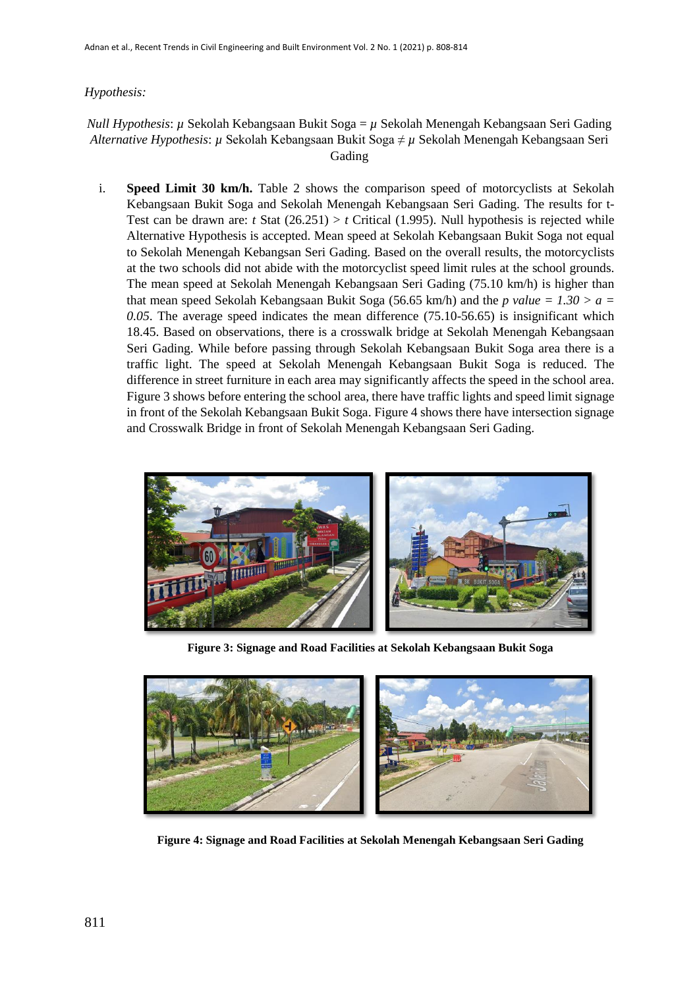#### *Hypothesis:*

#### *Null Hypothesis*: *µ* Sekolah Kebangsaan Bukit Soga = *µ* Sekolah Menengah Kebangsaan Seri Gading *Alternative Hypothesis*: *µ* Sekolah Kebangsaan Bukit Soga ≠ *µ* Sekolah Menengah Kebangsaan Seri Gading

i. **Speed Limit 30 km/h.** Table 2 shows the comparison speed of motorcyclists at Sekolah Kebangsaan Bukit Soga and Sekolah Menengah Kebangsaan Seri Gading. The results for t-Test can be drawn are: *t* Stat  $(26.251) > t$  Critical  $(1.995)$ . Null hypothesis is rejected while Alternative Hypothesis is accepted. Mean speed at Sekolah Kebangsaan Bukit Soga not equal to Sekolah Menengah Kebangsan Seri Gading. Based on the overall results, the motorcyclists at the two schools did not abide with the motorcyclist speed limit rules at the school grounds. The mean speed at Sekolah Menengah Kebangsaan Seri Gading (75.10 km/h) is higher than that mean speed Sekolah Kebangsaan Bukit Soga (56.65 km/h) and the *p value* =  $1.30 > a$  = *0.05*. The average speed indicates the mean difference (75.10-56.65) is insignificant which 18.45. Based on observations, there is a crosswalk bridge at Sekolah Menengah Kebangsaan Seri Gading. While before passing through Sekolah Kebangsaan Bukit Soga area there is a traffic light. The speed at Sekolah Menengah Kebangsaan Bukit Soga is reduced. The difference in street furniture in each area may significantly affects the speed in the school area. Figure 3 shows before entering the school area, there have traffic lights and speed limit signage in front of the Sekolah Kebangsaan Bukit Soga. Figure 4 shows there have intersection signage and Crosswalk Bridge in front of Sekolah Menengah Kebangsaan Seri Gading.



**Figure 3: Signage and Road Facilities at Sekolah Kebangsaan Bukit Soga**



**Figure 4: Signage and Road Facilities at Sekolah Menengah Kebangsaan Seri Gading**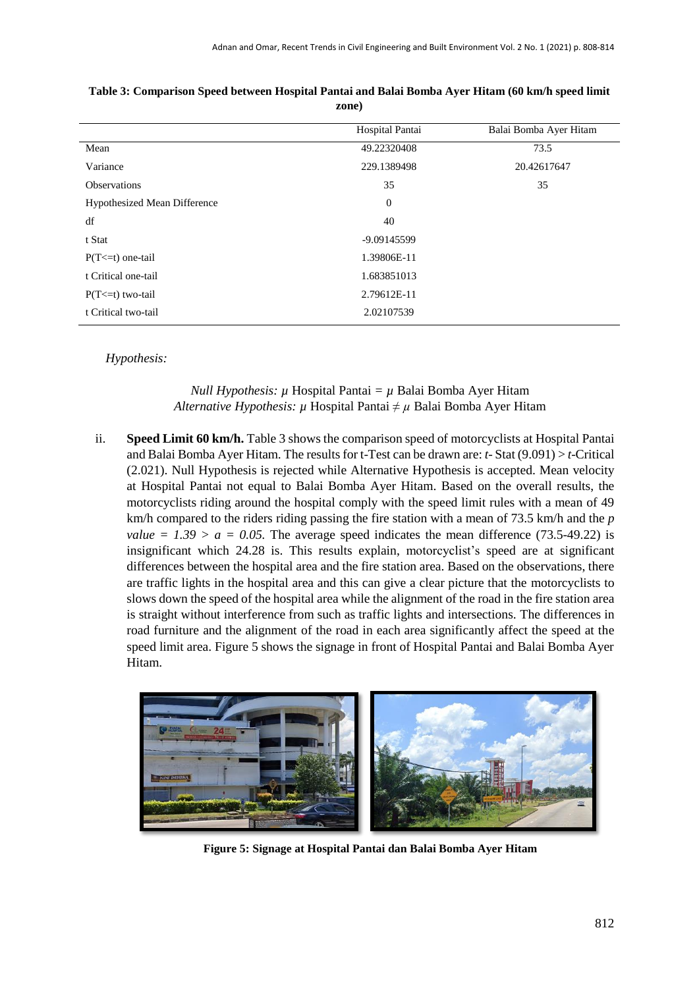|                                     | Hospital Pantai | Balai Bomba Ayer Hitam |
|-------------------------------------|-----------------|------------------------|
| Mean                                | 49.22320408     | 73.5                   |
| Variance                            | 229.1389498     | 20.42617647            |
| Observations                        | 35              | 35                     |
| <b>Hypothesized Mean Difference</b> | $\mathbf{0}$    |                        |
| df                                  | 40              |                        |
| t Stat                              | -9.09145599     |                        |
| $P(T \le t)$ one-tail               | 1.39806E-11     |                        |
| t Critical one-tail                 | 1.683851013     |                        |
| $P(T \le t)$ two-tail               | 2.79612E-11     |                        |
| t Critical two-tail                 | 2.02107539      |                        |

**Table 3: Comparison Speed between Hospital Pantai and Balai Bomba Ayer Hitam (60 km/h speed limit zone)**

*Hypothesis:*

#### *Null Hypothesis:*  $\mu$  Hospital Pantai =  $\mu$  Balai Bomba Ayer Hitam *Alternative Hypothesis: µ* Hospital Pantai *≠ µ* Balai Bomba Ayer Hitam

ii. **Speed Limit 60 km/h.** Table 3 shows the comparison speed of motorcyclists at Hospital Pantai and Balai Bomba Ayer Hitam. The results for t-Test can be drawn are: *t*- Stat (9.091) > *t*-Critical (2.021). Null Hypothesis is rejected while Alternative Hypothesis is accepted. Mean velocity at Hospital Pantai not equal to Balai Bomba Ayer Hitam. Based on the overall results, the motorcyclists riding around the hospital comply with the speed limit rules with a mean of 49 km/h compared to the riders riding passing the fire station with a mean of 73.5 km/h and the *p value* =  $1.39 > a = 0.05$ . The average speed indicates the mean difference (73.5-49.22) is insignificant which 24.28 is. This results explain, motorcyclist's speed are at significant differences between the hospital area and the fire station area. Based on the observations, there are traffic lights in the hospital area and this can give a clear picture that the motorcyclists to slows down the speed of the hospital area while the alignment of the road in the fire station area is straight without interference from such as traffic lights and intersections. The differences in road furniture and the alignment of the road in each area significantly affect the speed at the speed limit area. Figure 5 shows the signage in front of Hospital Pantai and Balai Bomba Ayer Hitam.



**Figure 5: Signage at Hospital Pantai dan Balai Bomba Ayer Hitam**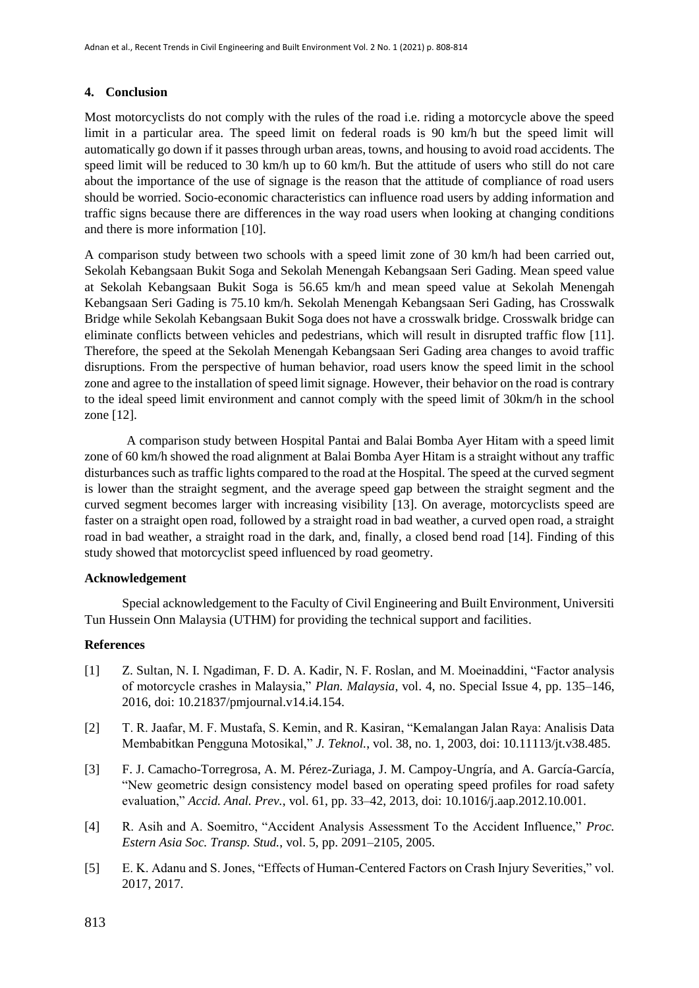#### **4. Conclusion**

Most motorcyclists do not comply with the rules of the road i.e. riding a motorcycle above the speed limit in a particular area. The speed limit on federal roads is 90 km/h but the speed limit will automatically go down if it passes through urban areas, towns, and housing to avoid road accidents. The speed limit will be reduced to 30 km/h up to 60 km/h. But the attitude of users who still do not care about the importance of the use of signage is the reason that the attitude of compliance of road users should be worried. Socio-economic characteristics can influence road users by adding information and traffic signs because there are differences in the way road users when looking at changing conditions and there is more information [10].

A comparison study between two schools with a speed limit zone of 30 km/h had been carried out, Sekolah Kebangsaan Bukit Soga and Sekolah Menengah Kebangsaan Seri Gading. Mean speed value at Sekolah Kebangsaan Bukit Soga is 56.65 km/h and mean speed value at Sekolah Menengah Kebangsaan Seri Gading is 75.10 km/h. Sekolah Menengah Kebangsaan Seri Gading, has Crosswalk Bridge while Sekolah Kebangsaan Bukit Soga does not have a crosswalk bridge. Crosswalk bridge can eliminate conflicts between vehicles and pedestrians, which will result in disrupted traffic flow [11]. Therefore, the speed at the Sekolah Menengah Kebangsaan Seri Gading area changes to avoid traffic disruptions. From the perspective of human behavior, road users know the speed limit in the school zone and agree to the installation of speed limit signage. However, their behavior on the road is contrary to the ideal speed limit environment and cannot comply with the speed limit of 30km/h in the school zone [12].

A comparison study between Hospital Pantai and Balai Bomba Ayer Hitam with a speed limit zone of 60 km/h showed the road alignment at Balai Bomba Ayer Hitam is a straight without any traffic disturbances such as traffic lights compared to the road at the Hospital. The speed at the curved segment is lower than the straight segment, and the average speed gap between the straight segment and the curved segment becomes larger with increasing visibility [13]. On average, motorcyclists speed are faster on a straight open road, followed by a straight road in bad weather, a curved open road, a straight road in bad weather, a straight road in the dark, and, finally, a closed bend road [14]. Finding of this study showed that motorcyclist speed influenced by road geometry.

#### **Acknowledgement**

Special acknowledgement to the Faculty of Civil Engineering and Built Environment, Universiti Tun Hussein Onn Malaysia (UTHM) for providing the technical support and facilities.

#### **References**

- [1] Z. Sultan, N. I. Ngadiman, F. D. A. Kadir, N. F. Roslan, and M. Moeinaddini, "Factor analysis of motorcycle crashes in Malaysia," *Plan. Malaysia*, vol. 4, no. Special Issue 4, pp. 135–146, 2016, doi: 10.21837/pmjournal.v14.i4.154.
- [2] T. R. Jaafar, M. F. Mustafa, S. Kemin, and R. Kasiran, "Kemalangan Jalan Raya: Analisis Data Membabitkan Pengguna Motosikal," *J. Teknol.*, vol. 38, no. 1, 2003, doi: 10.11113/jt.v38.485.
- [3] F. J. Camacho-Torregrosa, A. M. Pérez-Zuriaga, J. M. Campoy-Ungría, and A. García-García, "New geometric design consistency model based on operating speed profiles for road safety evaluation," *Accid. Anal. Prev.*, vol. 61, pp. 33–42, 2013, doi: 10.1016/j.aap.2012.10.001.
- [4] R. Asih and A. Soemitro, "Accident Analysis Assessment To the Accident Influence," *Proc. Estern Asia Soc. Transp. Stud.*, vol. 5, pp. 2091–2105, 2005.
- [5] E. K. Adanu and S. Jones, "Effects of Human-Centered Factors on Crash Injury Severities," vol. 2017, 2017.